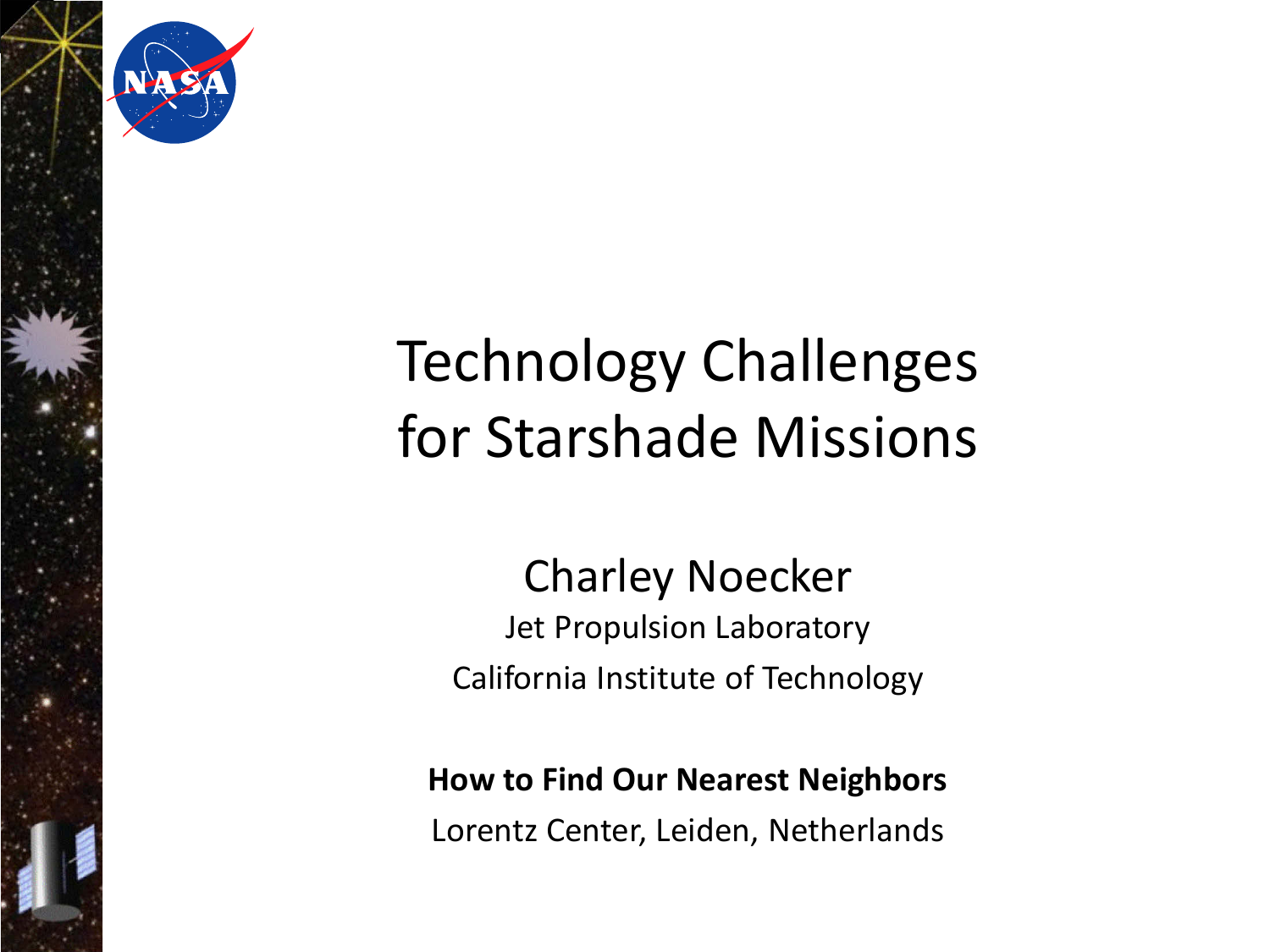

## Technology Challenges for Starshade Missions

#### Charley Noecker Jet Propulsion Laboratory California Institute of Technology

#### **How to Find Our Nearest Neighbors**

Lorentz Center, Leiden, Netherlands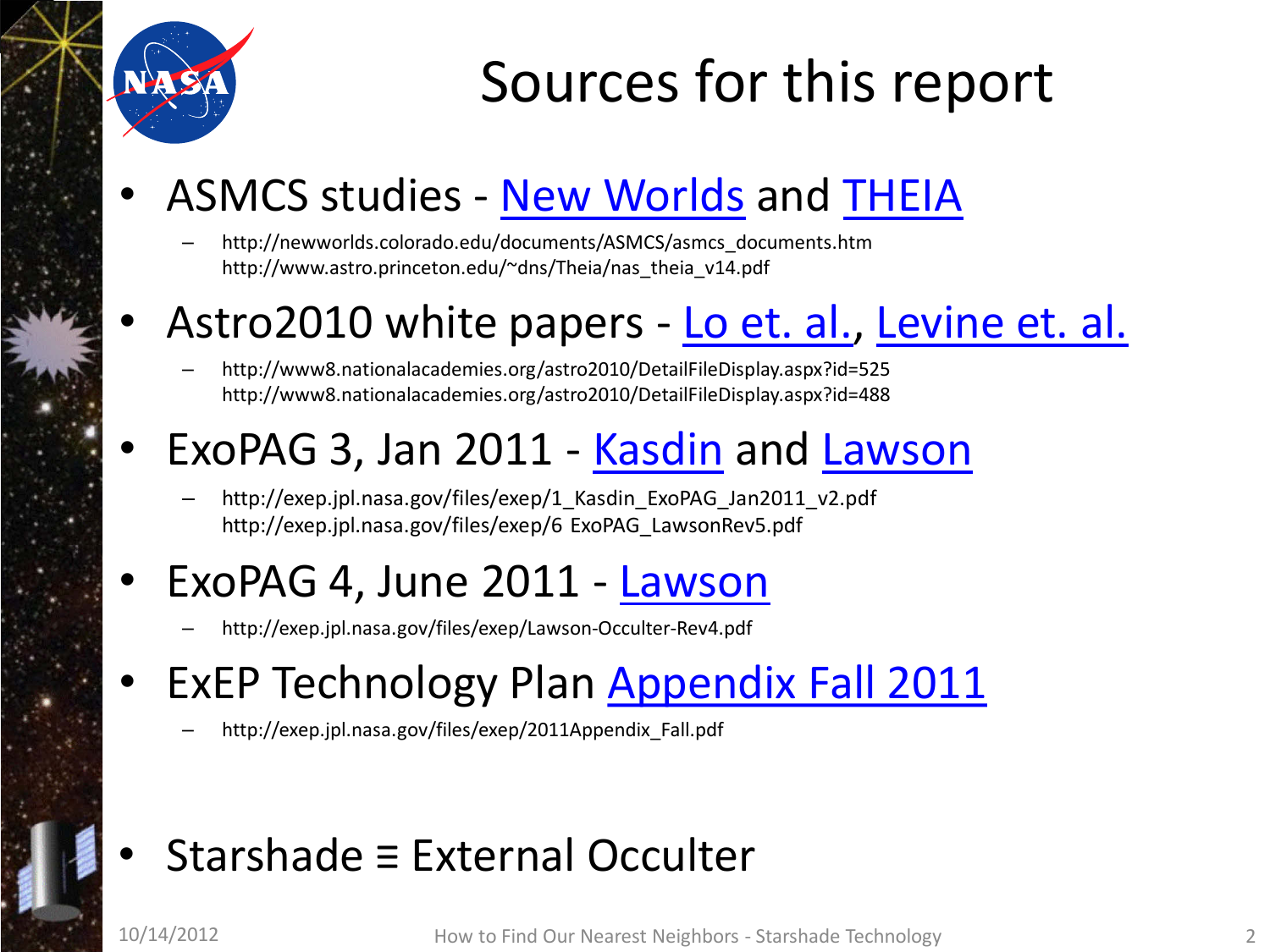

### Sources for this report

### ASMCS studies - [New Worlds](http://newworlds.colorado.edu/documents/ASMCS/asmcs_documents.htm) and [THEIA](http://www.astro.princeton.edu/%7Edns/Theia/nas_theia_v14.pdf)

– http://newworlds.colorado.edu/documents/ASMCS/asmcs\_documents.htm http://www.astro.princeton.edu/~dns/Theia/nas\_theia\_v14.pdf

#### Astro2010 white papers - [Lo et. al.,](http://www8.nationalacademies.org/astro2010/DetailFileDisplay.aspx?id=525) Levine et. al.

– http://www8.nationalacademies.org/astro2010/DetailFileDisplay.aspx?id=525 http://www8.nationalacademies.org/astro2010/DetailFileDisplay.aspx?id=488

#### • ExoPAG 3, Jan 2011 - [Kasdin](http://exep.jpl.nasa.gov/files/exep/1_Kasdin_ExoPAG_Jan2011_v2.pdf) and [Lawson](http://exep.jpl.nasa.gov/files/exep/6%20ExoPAG_LawsonRev5.pdf)

http://exep.jpl.nasa.gov/files/exep/1 Kasdin ExoPAG Jan2011 v2.pdf http://exep.jpl.nasa.gov/files/exep/6 ExoPAG\_LawsonRev5.pdf

#### • ExoPAG 4, June 2011 - [Lawson](http://exep.jpl.nasa.gov/files/exep/Lawson-Occulter-Rev4.pdf)

– http://exep.jpl.nasa.gov/files/exep/Lawson-Occulter-Rev4.pdf

### **ExEP Technology Plan [Appendix Fall 2011](http://exep.jpl.nasa.gov/files/exep/2011Appendix_Fall.pdf)**

– http://exep.jpl.nasa.gov/files/exep/2011Appendix\_Fall.pdf

#### • Starshade ≡ External Occulter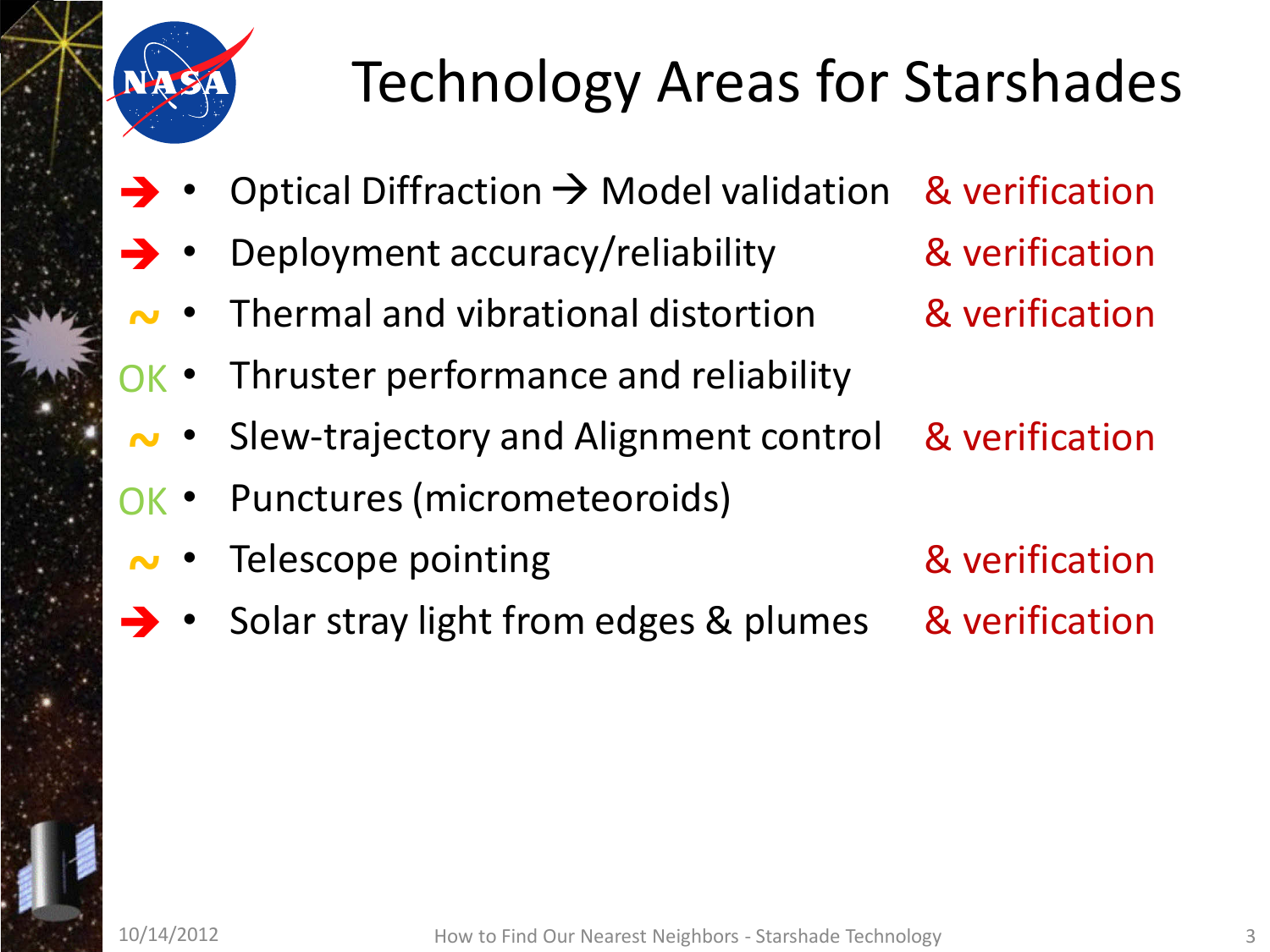

# Technology Areas for Starshades

- Optical Diffraction  $\rightarrow$  Model validation  $\rightarrow$
- Deployment accuracy/reliability  $\rightarrow$
- Thermal and vibrational distortion **~**
- Thruster performance and reliability OK •
- Slew-trajectory and Alignment control **~**
- Punctures (micrometeoroids) OK •
- Telescope pointing **~**
- Solar stray light from edges & plumes  $\rightarrow$
- & verification & verification
- & verification
- & verification
- & verification & verification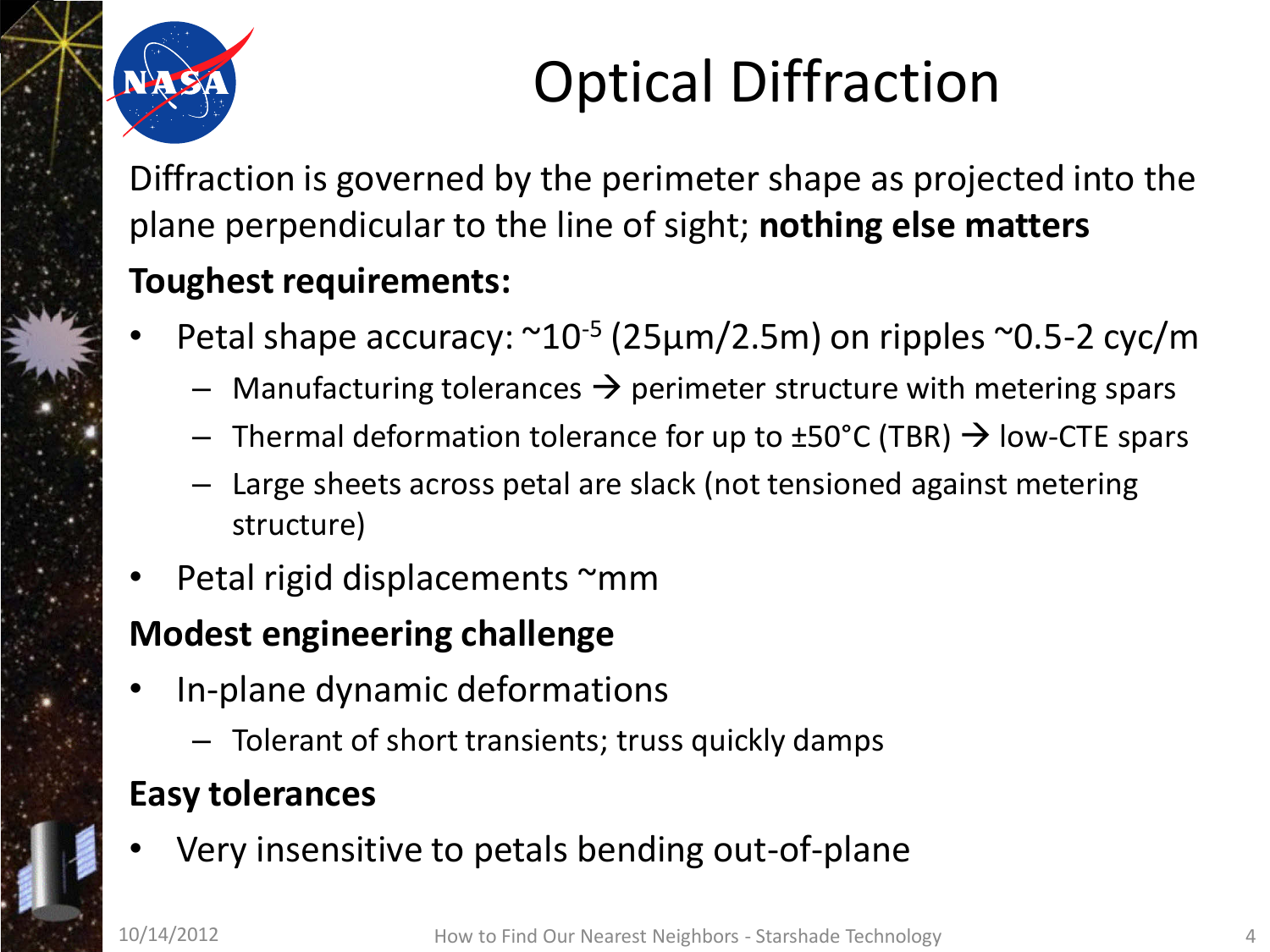

# Optical Diffraction

Diffraction is governed by the perimeter shape as projected into the plane perpendicular to the line of sight; **nothing else matters Toughest requirements:**

- Petal shape accuracy:  $\sim 10^{-5}$  (25 $\mu$ m/2.5m) on ripples  $\sim 0.5$ -2 cyc/m
	- $-$  Manufacturing tolerances  $\rightarrow$  perimeter structure with metering spars
	- $-$  Thermal deformation tolerance for up to  $\pm$ 50°C (TBR)  $\rightarrow$  low-CTE spars
	- Large sheets across petal are slack (not tensioned against metering structure)
- Petal rigid displacements ~mm

#### **Modest engineering challenge**

- In-plane dynamic deformations
	- Tolerant of short transients; truss quickly damps

#### **Easy tolerances**

• Very insensitive to petals bending out-of-plane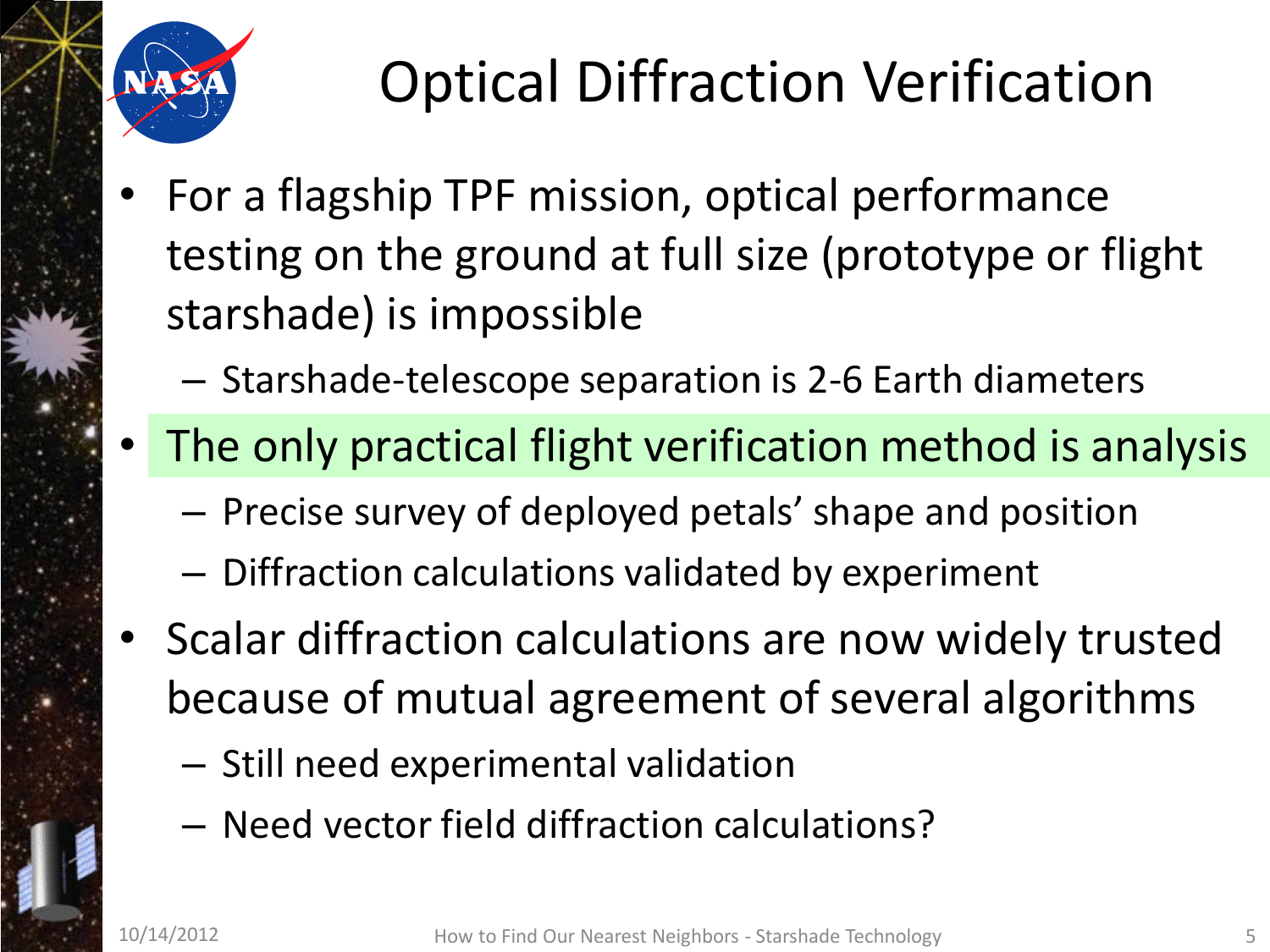

# Optical Diffraction Verification

- For a flagship TPF mission, optical performance testing on the ground at full size (prototype or flight starshade) is impossible
	- Starshade-telescope separation is 2-6 Earth diameters
- The only practical flight verification method is analysis
	- Precise survey of deployed petals' shape and position
	- Diffraction calculations validated by experiment
- Scalar diffraction calculations are now widely trusted because of mutual agreement of several algorithms
	- Still need experimental validation
	- Need vector field diffraction calculations?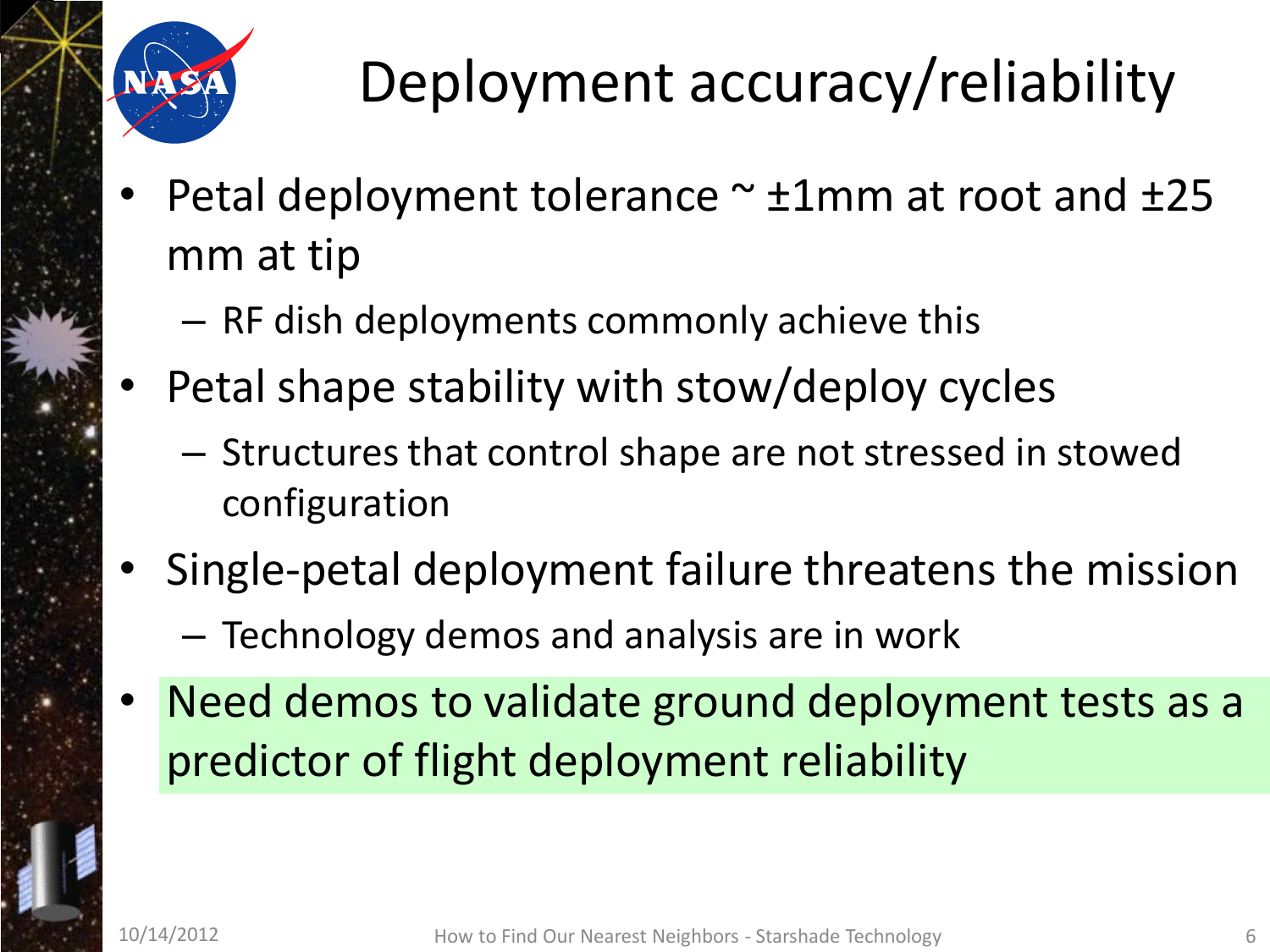

# Deployment accuracy/reliability

- Petal deployment tolerance  $\sim \pm 1$ mm at root and  $\pm 25$ mm at tip
	- RF dish deployments commonly achieve this
- Petal shape stability with stow/deploy cycles
	- Structures that control shape are not stressed in stowed configuration
- Single-petal deployment failure threatens the mission
	- Technology demos and analysis are in work
- Need demos to validate ground deployment tests as a predictor of flight deployment reliability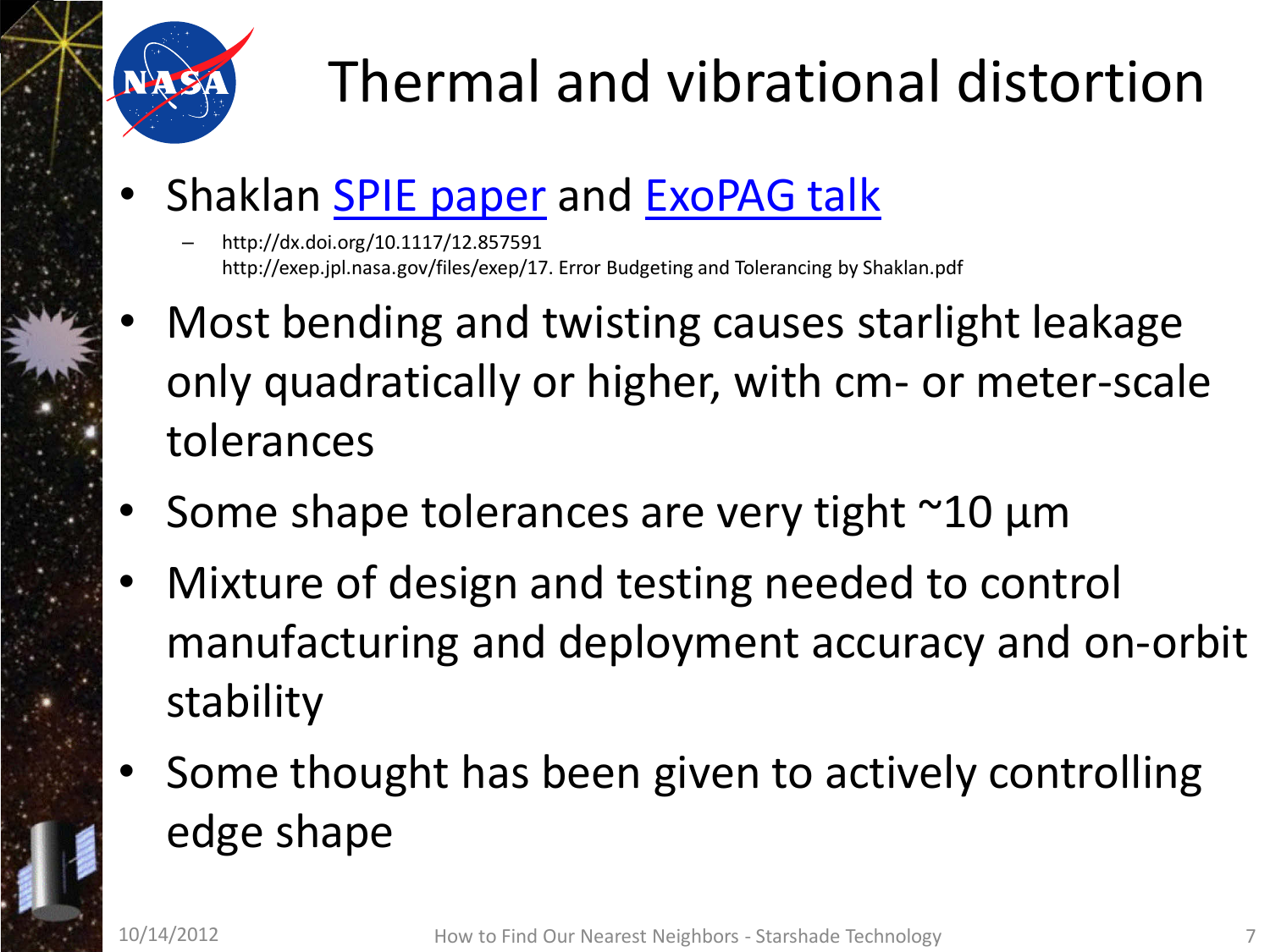

# Thermal and vibrational distortion

- Shaklan **SPIE** paper and **ExoPAG** talk
	- http://dx.doi.org/10.1117/12.857591 http://exep.jpl.nasa.gov/files/exep/17. Error Budgeting and Tolerancing by Shaklan.pdf
- Most bending and twisting causes starlight leakage only quadratically or higher, with cm- or meter-scale tolerances
- Some shape tolerances are very tight  $\sim$ 10 µm
- Mixture of design and testing needed to control manufacturing and deployment accuracy and on-orbit stability
- Some thought has been given to actively controlling edge shape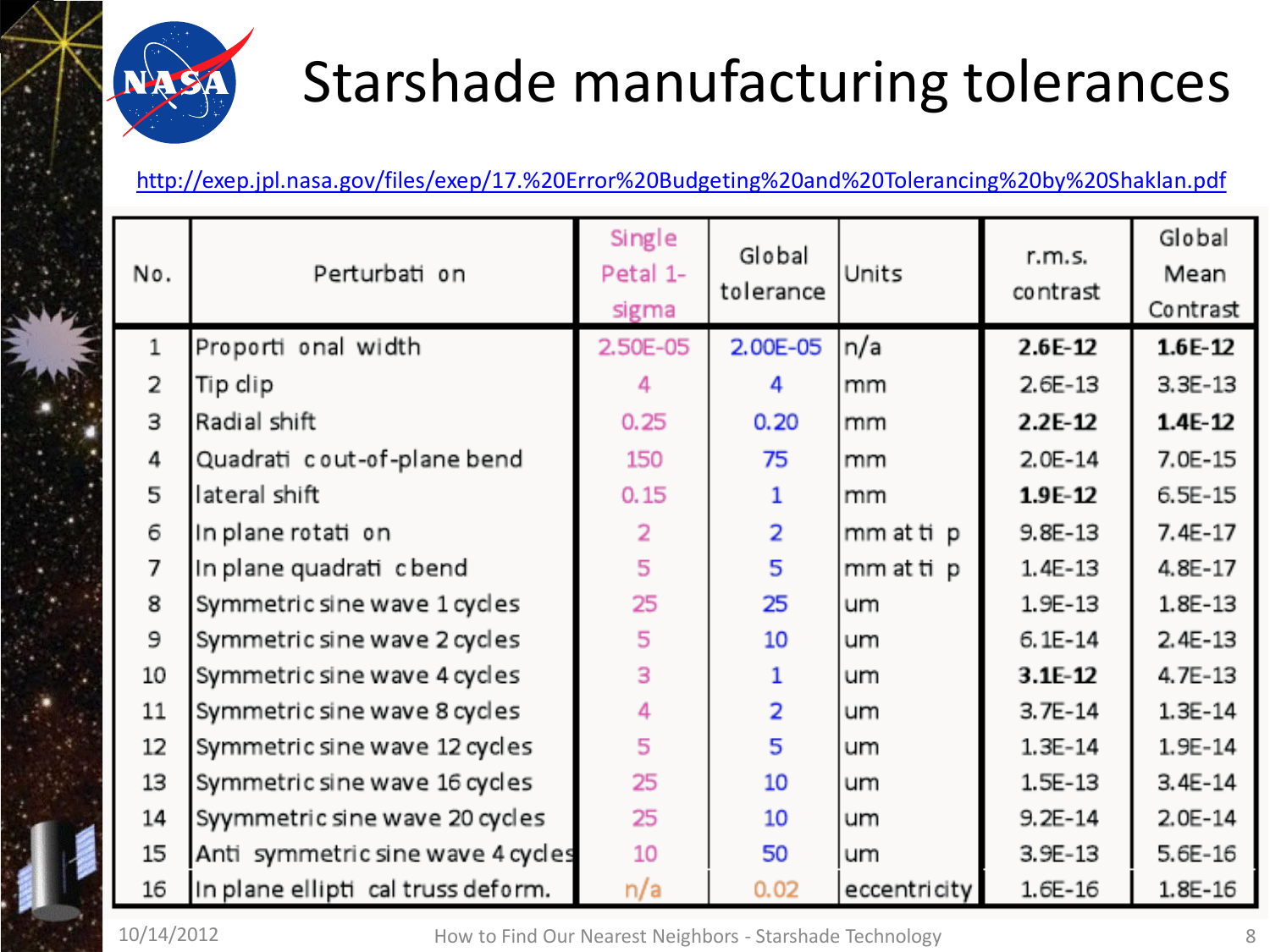

### Starshade manufacturing tolerances

<http://exep.jpl.nasa.gov/files/exep/17.%20Error%20Budgeting%20and%20Tolerancing%20by%20Shaklan.pdf>

| N٥.   | Perturbati on                      | Single<br>Petal 1-<br>sigma | Global<br>tolerance | Units        | r.m.s.<br>contrast | Global<br>Mean<br>Contrast |
|-------|------------------------------------|-----------------------------|---------------------|--------------|--------------------|----------------------------|
| $1\,$ | Proporti onal width                | 2.50E-05                    | 2.00E-05            | n/a          | 2.6E-12            | $1.6E-12$                  |
| 2     | Tip clip                           | 4                           | 4                   | mm           | $2.6E-13$          | $3.3E-13$                  |
| З     | Radial shift                       | 0.25                        | 0.20                | mm           | 2.2E-12            | $1.4E - 12$                |
| 4     | Quadrati cout-of-plane bend        | 150                         | 75                  | mm           | $2.0E-14$          | 7.0E-15                    |
| 5     | lateral shift                      | 0.15                        | 1                   | mm           | 1.9E-12            | 6.5E-15                    |
| 6     | In plane rotation                  | $\overline{2}$              | $\overline{2}$      | mm at tip    | $9.8E-13$          | 7.4E-17                    |
| 7     | In plane quadrati c bend           | 5                           | 5                   | mm at tip    | 1.4E-13            | 4.8E-17                    |
| 8     | Symmetric sine wave 1 cycles       | 25                          | 25                  | um           | 1.9E-13            | 1.8E-13                    |
| 9     | Symmetric sine wave 2 cycles       | 5                           | 10                  | um           | $6.1E-14$          | $2.4E-13$                  |
| 10    | Symmetric sine wave 4 cycles       | 3                           |                     | um           | $3.1E-12$          | 4.7E-13                    |
| 11    | Symmetric sine wave 8 cycles       | 4                           | $\overline{2}$      | um           | $3.7E-14$          | 1.3E-14                    |
| 12    | Symmetric sine wave 12 cycles      | 5                           | 5                   | um           | $1.3E-14$          | 1.9E-14                    |
| 13    | Symmetric sine wave 16 cycles      | 25                          | 10                  | um           | 1.5E-13            | 3.4E-14                    |
| 14    | Syymmetric sine wave 20 cycles     | 25                          | 10                  | um           | $9.2E-14$          | $2.0E-14$                  |
| 15    | Anti symmetric sine wave 4 cycles  | 10                          | 50                  | um           | $3.9E-13$          | 5.6E-16                    |
| 16    | In plane ellipti cal truss deform. | n/a                         | 0.02                | eccentricity | 1.6E-16            | 1.8E-16                    |

10/14/2012 How to Find Our Nearest Neighbors - Starshade Technology 8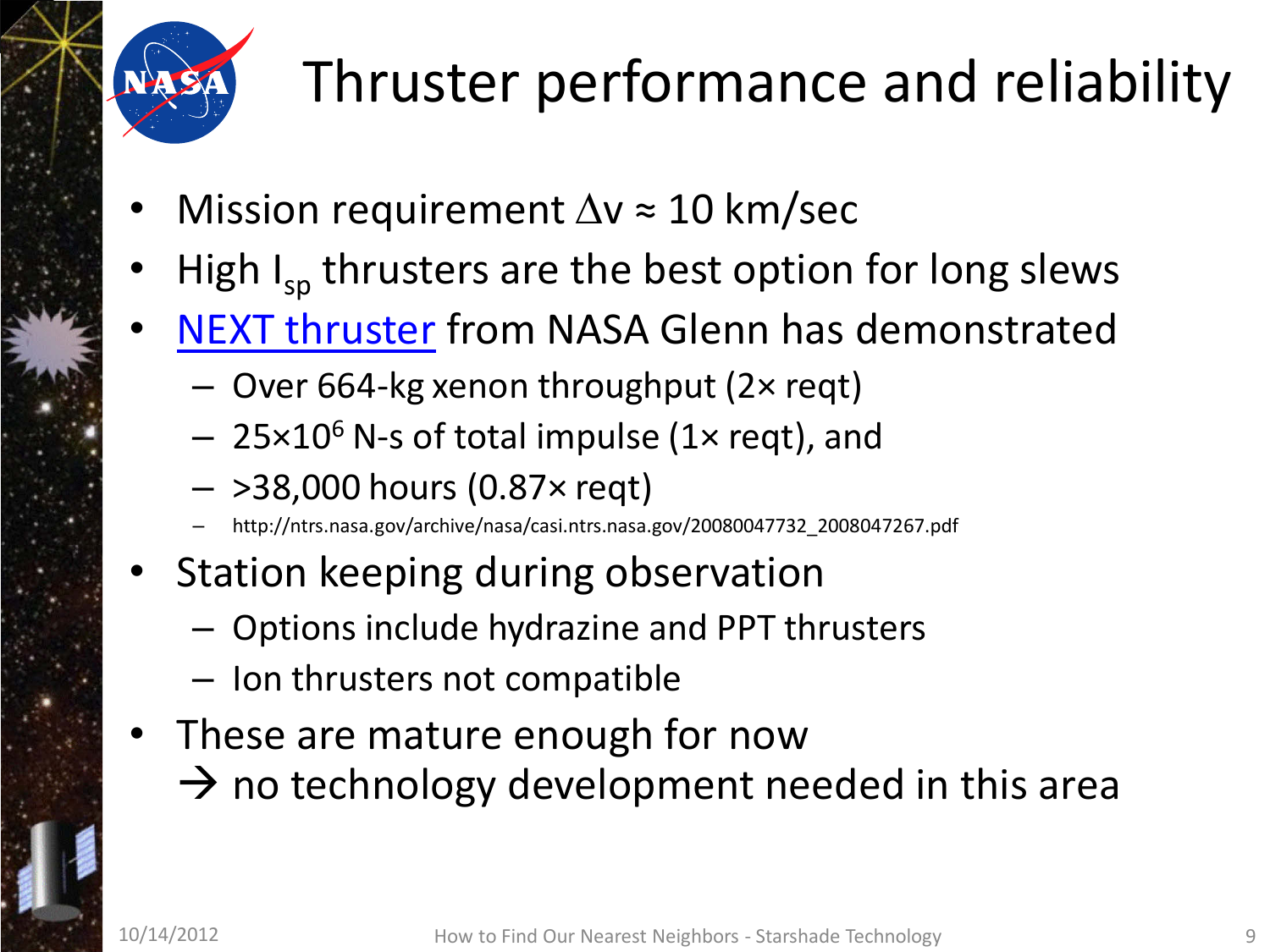

# Thruster performance and reliability

- Mission requirement  $\Delta v \approx 10$  km/sec
- High  $I_{SD}$  thrusters are the best option for long slews
- [NEXT thruster](http://ntrs.nasa.gov/archive/nasa/casi.ntrs.nasa.gov/20080047732_2008047267.pdf) from NASA Glenn has demonstrated
	- Over 664-kg xenon throughput (2× reqt)
	- $-$  25×10<sup>6</sup> N-s of total impulse (1× reqt), and
	- >38,000 hours (0.87× reqt)
	- http://ntrs.nasa.gov/archive/nasa/casi.ntrs.nasa.gov/20080047732\_2008047267.pdf
- Station keeping during observation
	- Options include hydrazine and PPT thrusters
	- Ion thrusters not compatible
- These are mature enough for now
	- $\rightarrow$  no technology development needed in this area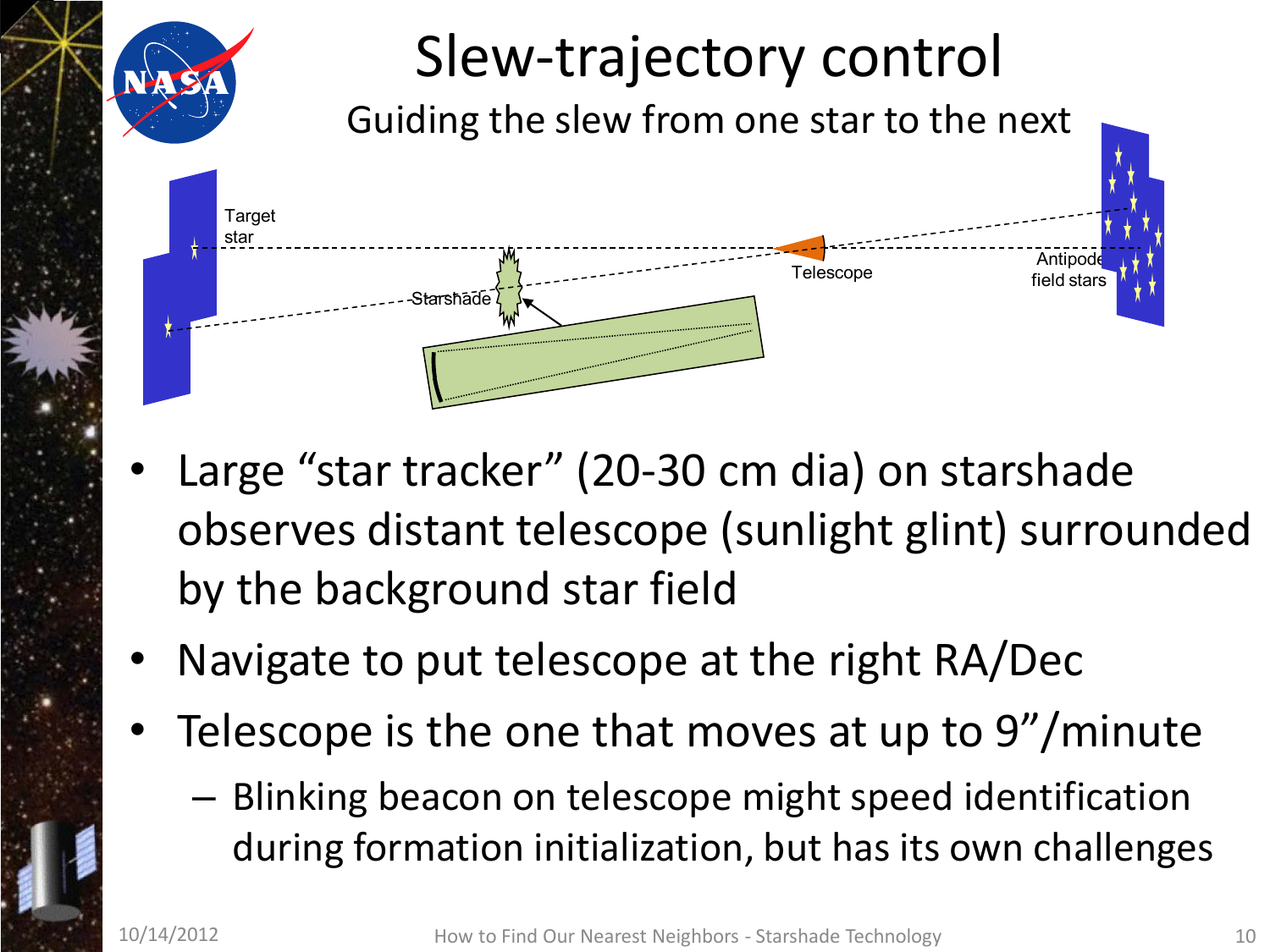

- Large "star tracker" (20-30 cm dia) on starshade observes distant telescope (sunlight glint) surrounded by the background star field
- Navigate to put telescope at the right RA/Dec
- Telescope is the one that moves at up to 9"/minute
	- Blinking beacon on telescope might speed identification during formation initialization, but has its own challenges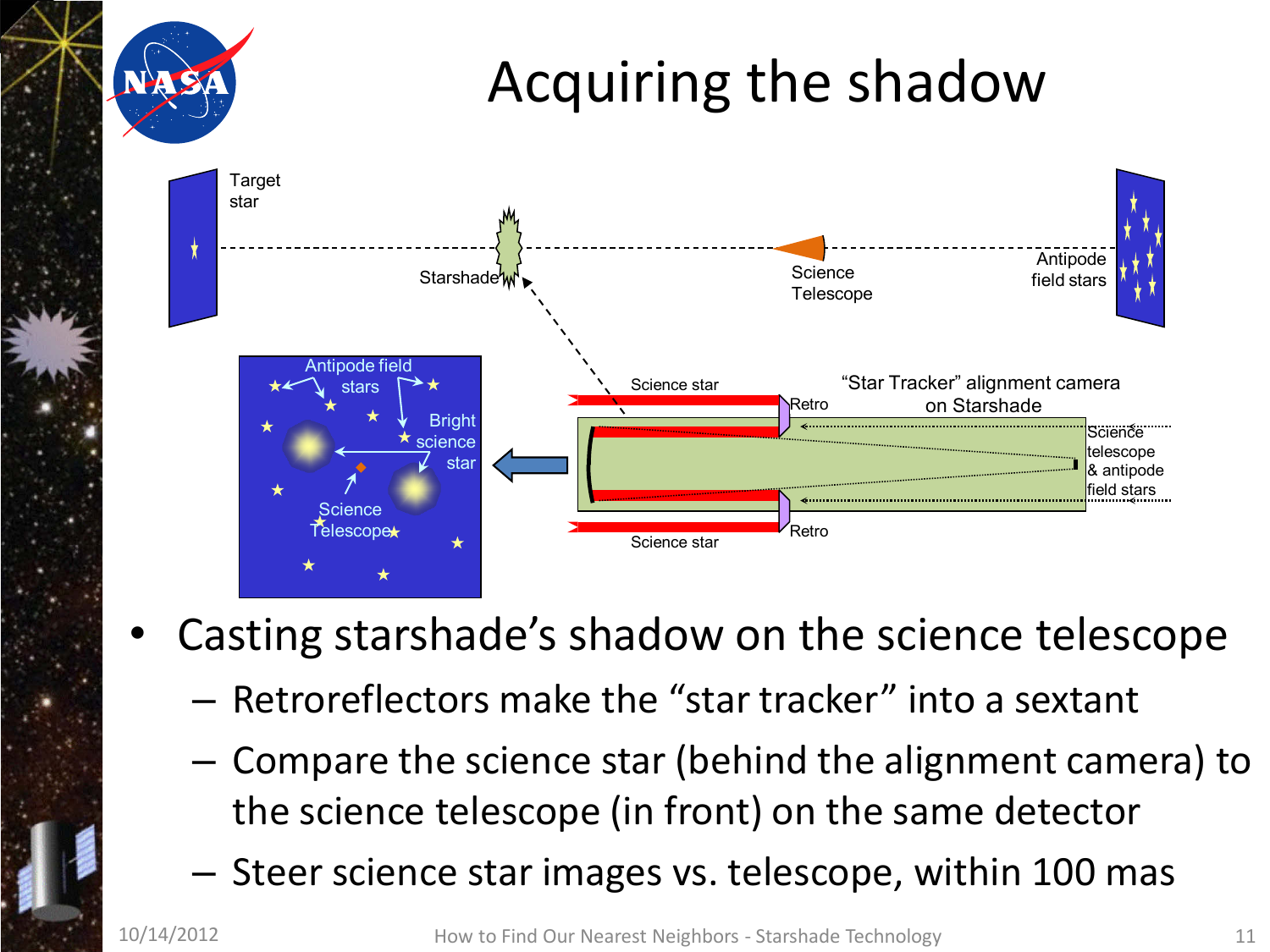

- Casting starshade's shadow on the science telescope
	- Retroreflectors make the "star tracker" into a sextant
	- Compare the science star (behind the alignment camera) to the science telescope (in front) on the same detector
	- Steer science star images vs. telescope, within 100 mas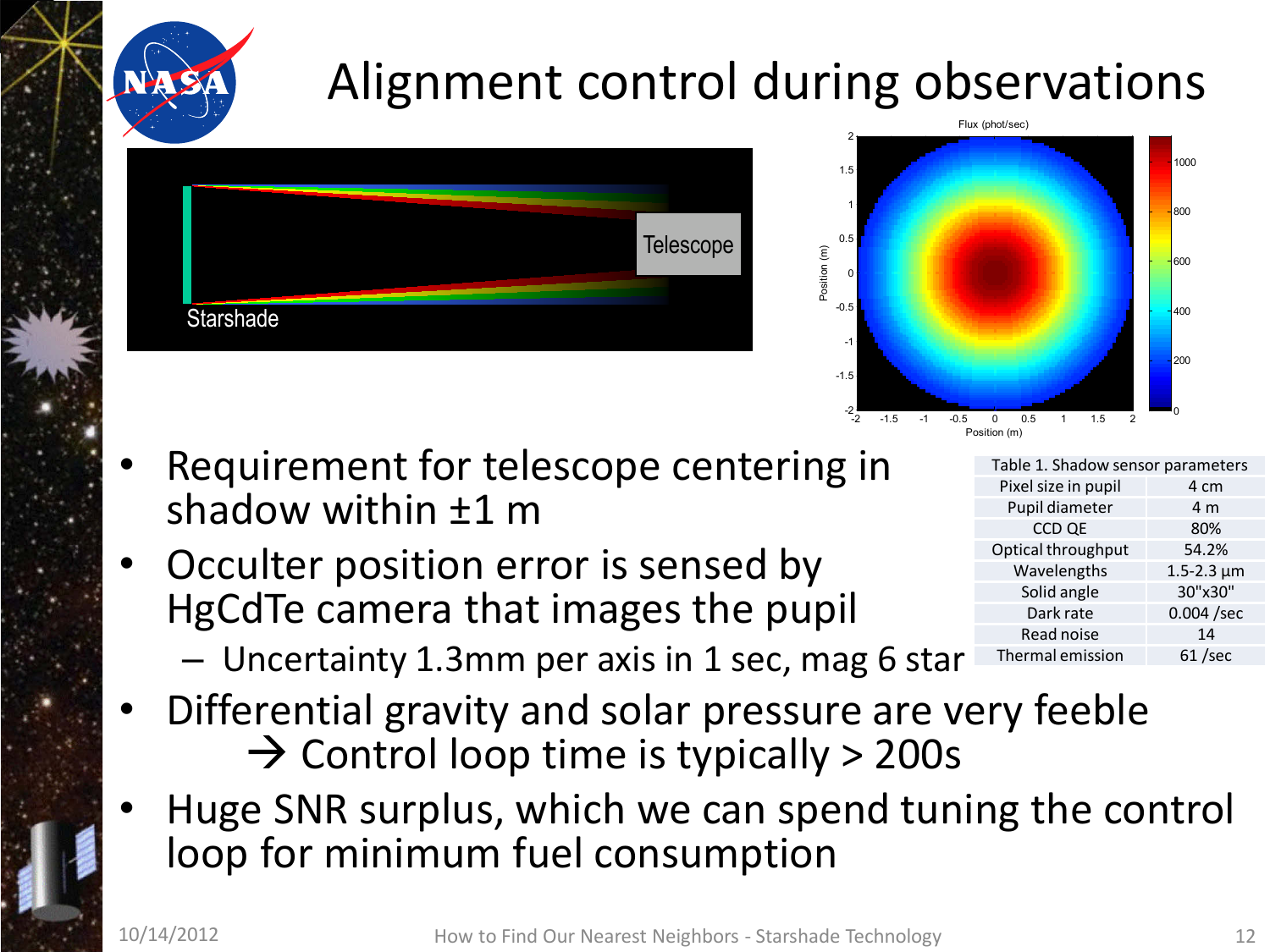### Alignment control during observations





- Requirement for telescope centering in shadow within ±1 m
- Occulter position error is sensed by HgCdTe camera that images the pupil
	- Uncertainty 1.3mm per axis in 1 sec, mag 6 star
- Differential gravity and solar pressure are very feeble  $\rightarrow$  Control loop time is typically > 200s
- Huge SNR surplus, which we can spend tuning the control loop for minimum fuel consumption

| Table 1. Shadow sensor parameters |                     |  |  |  |
|-----------------------------------|---------------------|--|--|--|
| Pixel size in pupil               | 4 cm                |  |  |  |
| Pupil diameter                    | 4 m                 |  |  |  |
| CCD QE                            | 80%                 |  |  |  |
| Optical throughput                | 54.2%               |  |  |  |
| Wavelengths                       | $1.5 - 2.3 \,\mu m$ |  |  |  |
| Solid angle                       | 30"x30"             |  |  |  |
| Dark rate                         | $0.004$ /sec        |  |  |  |
| Read noise                        | 14                  |  |  |  |
| Thermal emission                  | $61$ /sec           |  |  |  |
|                                   |                     |  |  |  |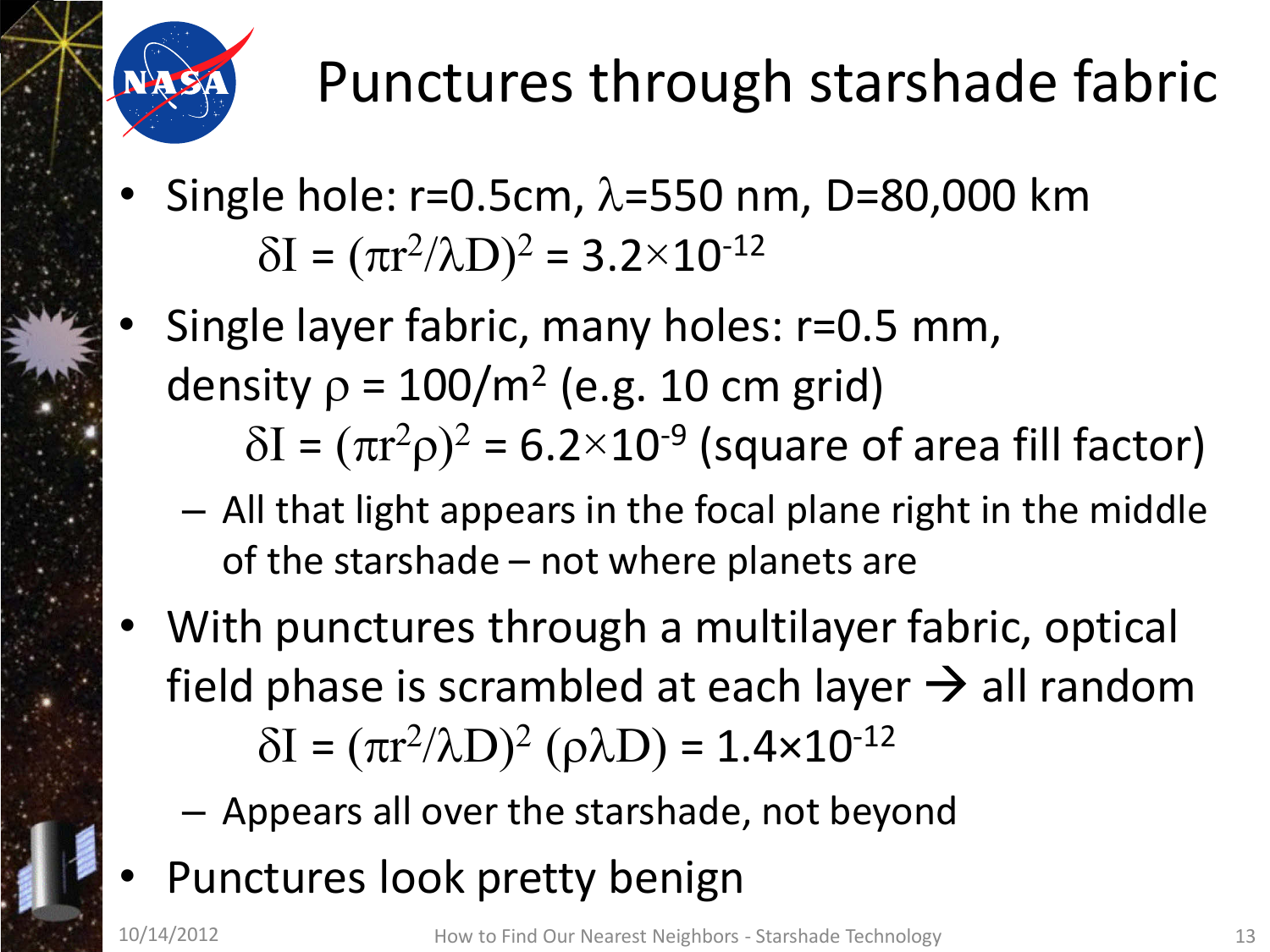

## Punctures through starshade fabric

- Single hole:  $r=0.5cm$ ,  $\lambda=550$  nm, D=80,000 km  $δI = (πr<sup>2</sup>/λD)<sup>2</sup> = 3.2×10<sup>-12</sup>$
- Single layer fabric, many holes: r=0.5 mm, density  $\rho = 100/m^2$  (e.g. 10 cm grid)  $\delta I = (\pi r^2 \rho)^2 = 6.2 \times 10^{-9}$  (square of area fill factor)
	- All that light appears in the focal plane right in the middle of the starshade – not where planets are
- With punctures through a multilayer fabric, optical field phase is scrambled at each layer  $\rightarrow$  all random  $δI = (πr<sup>2</sup>/λD)<sup>2</sup> (ρλD) = 1.4×10<sup>-12</sup>$ 
	- Appears all over the starshade, not beyond
- Punctures look pretty benign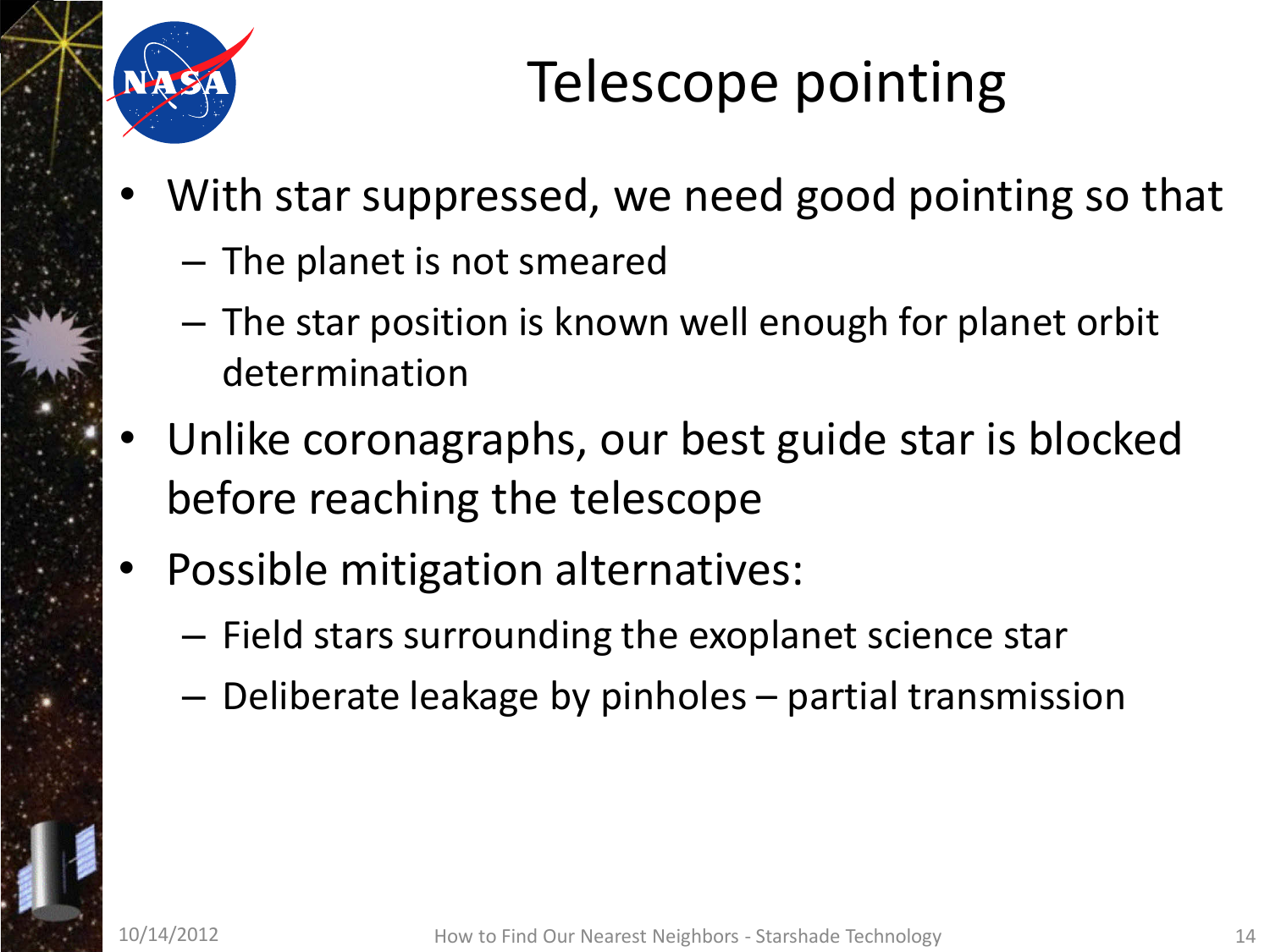

## Telescope pointing

- With star suppressed, we need good pointing so that
	- The planet is not smeared
	- The star position is known well enough for planet orbit determination
- Unlike coronagraphs, our best guide star is blocked before reaching the telescope
- Possible mitigation alternatives:
	- Field stars surrounding the exoplanet science star
	- Deliberate leakage by pinholes partial transmission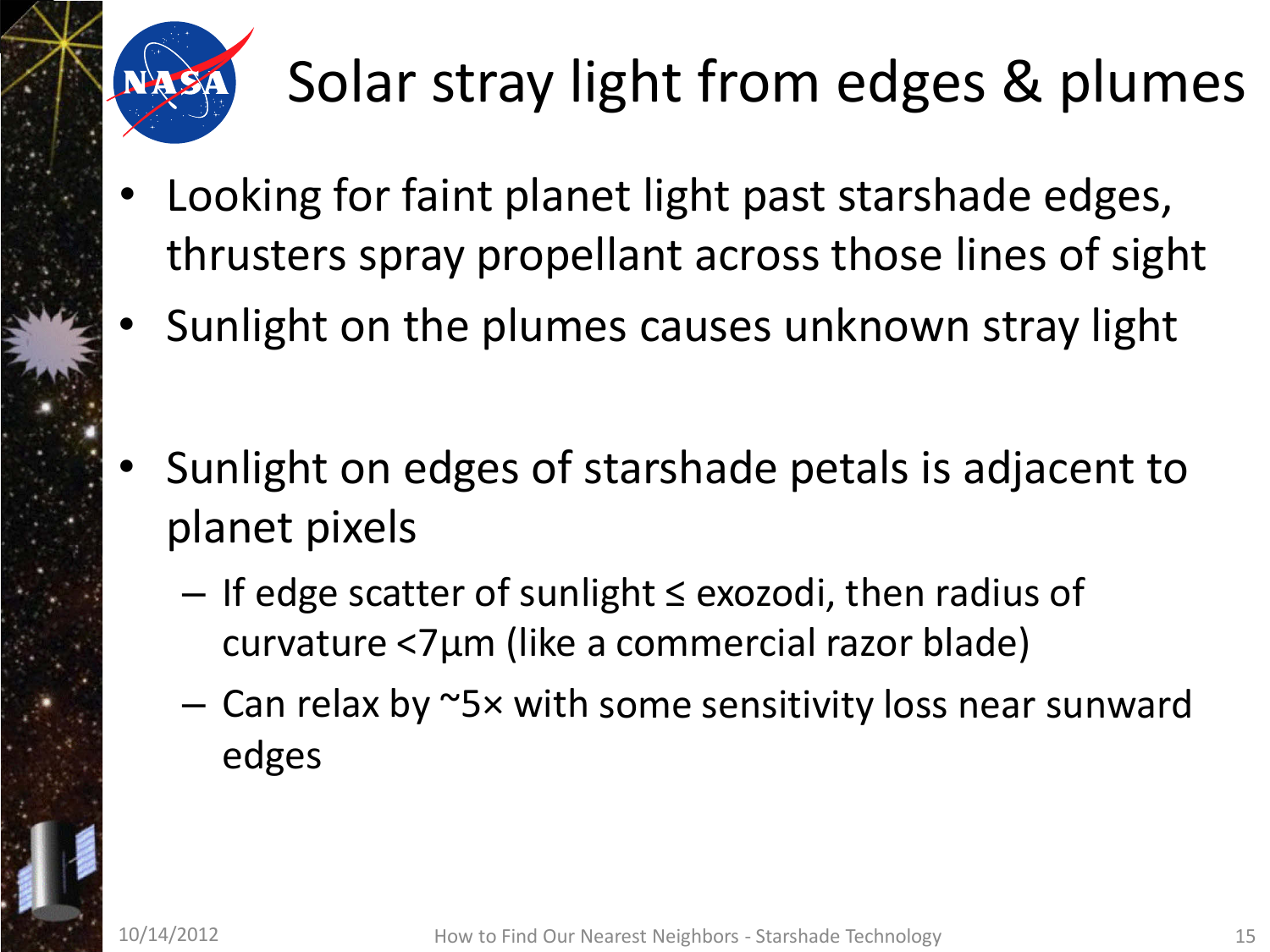

# Solar stray light from edges & plumes

- Looking for faint planet light past starshade edges, thrusters spray propellant across those lines of sight
- Sunlight on the plumes causes unknown stray light
- Sunlight on edges of starshade petals is adjacent to planet pixels
	- If edge scatter of sunlight ≤ exozodi, then radius of curvature <7µm (like a commercial razor blade)
	- Can relax by ~5× with some sensitivity loss near sunward edges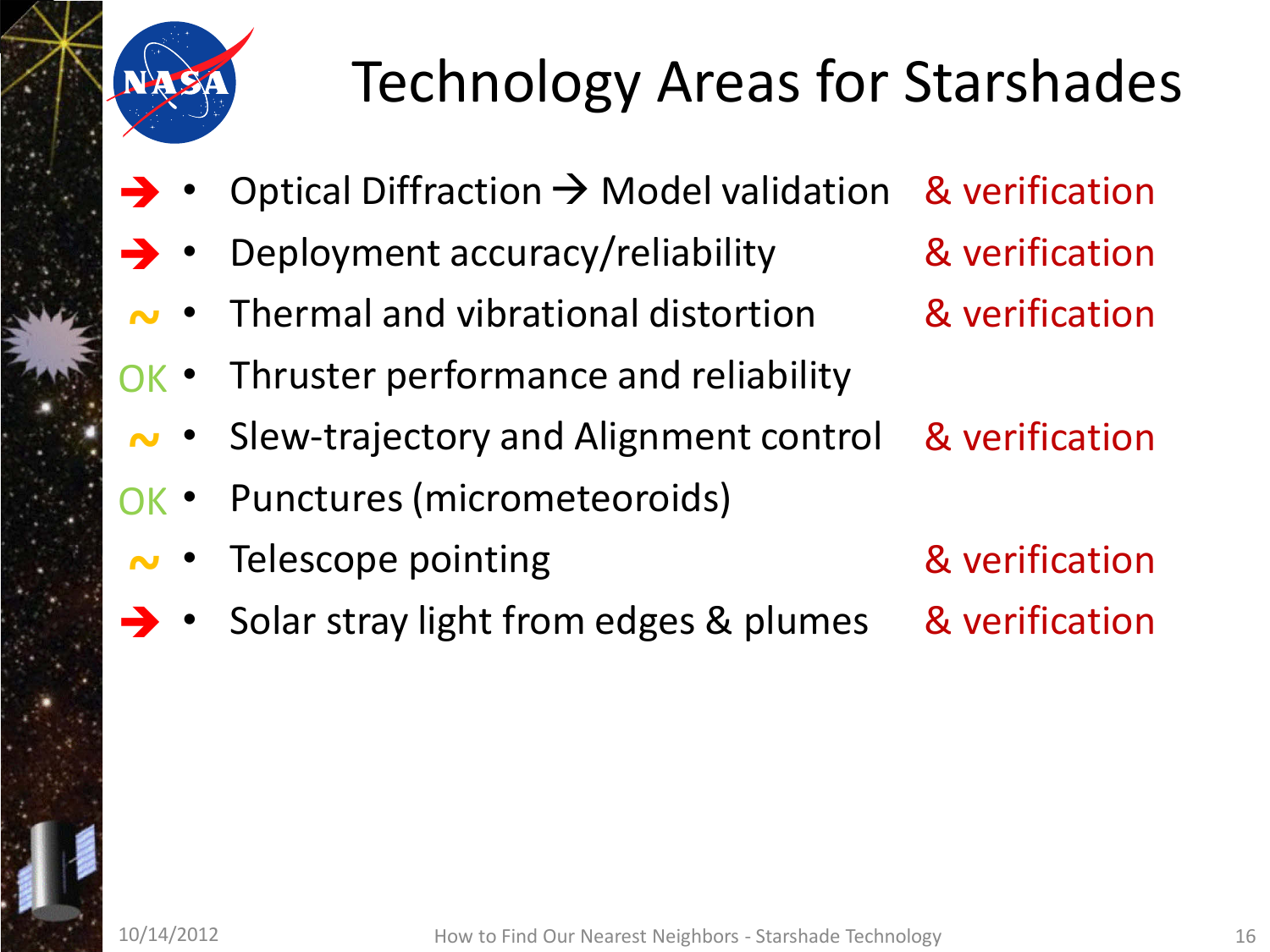

# Technology Areas for Starshades

- Optical Diffraction  $\rightarrow$  Model validation  $\rightarrow$
- Deployment accuracy/reliability  $\rightarrow$
- Thermal and vibrational distortion **~**
- Thruster performance and reliability OK •
- Slew-trajectory and Alignment control **~**
- Punctures (micrometeoroids) OK •
- Telescope pointing **~**
- Solar stray light from edges & plumes  $\rightarrow$
- & verification & verification
- & verification
- & verification
- & verification & verification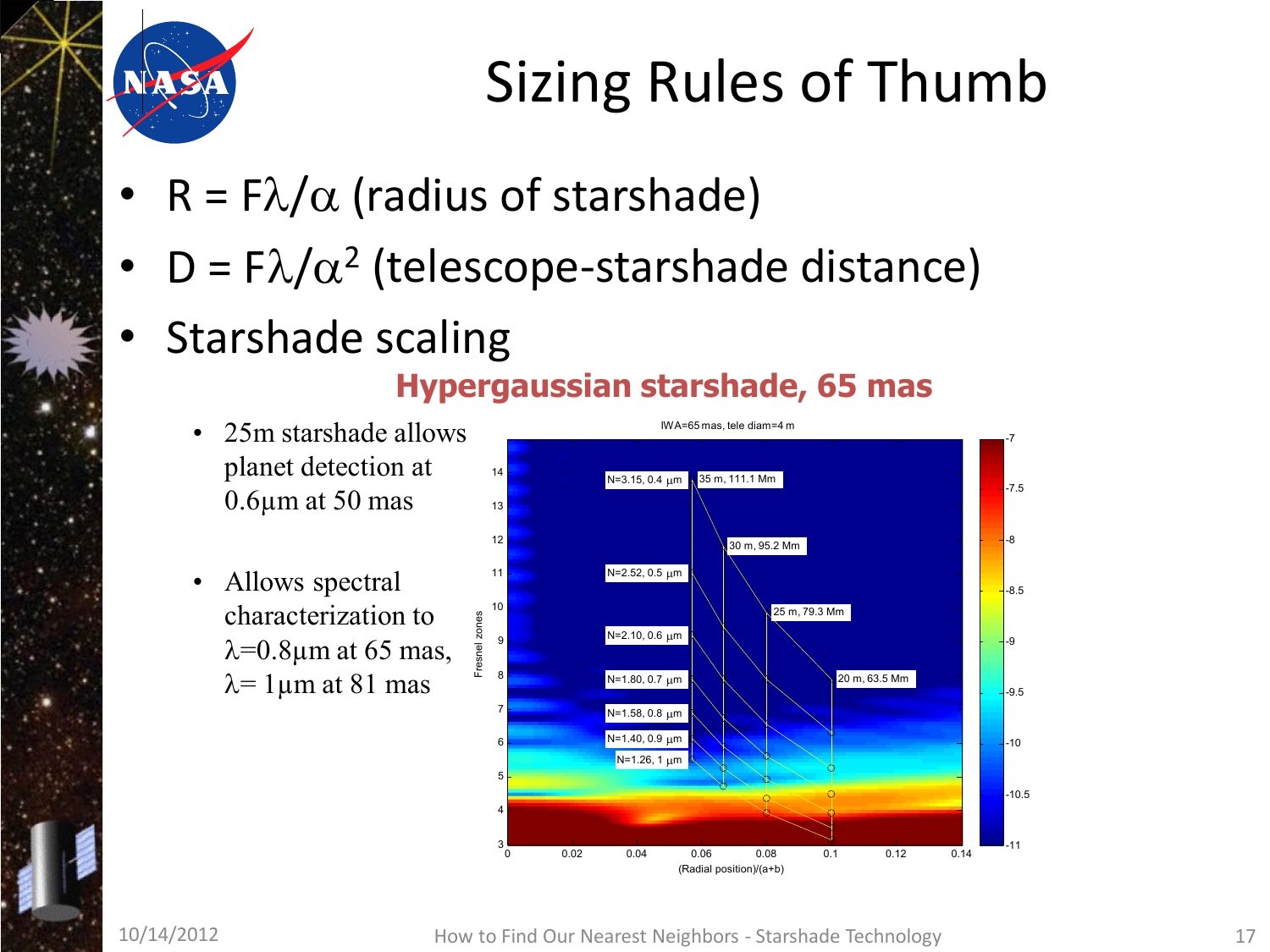

## Sizing Rules of Thumb

• R =  $F\lambda/\alpha$  (radius of starshade)

Fresnel zones

Fresnel zones

- D =  $F\lambda/\alpha^2$  (telescope-starshade distance)
- Starshade scaling

#### **Hypergaussian starshade, 65 mas**

- 25m starshade allows planet detection at 0.6µm at 50 mas
- Allows spectral characterization to  $\lambda$ =0.8μm at 65 mas,  $λ=1$ μm at 81 mas